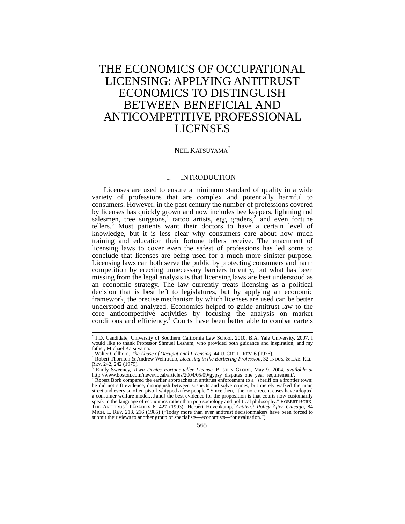# THE ECONOMICS OF OCCUPATIONAL LICENSING: APPLYING ANTITRUST ECONOMICS TO DISTINGUISH BETWEEN BENEFICIAL AND ANTICOMPETITIVE PROFESSIONAL LICENSES

# NEIL KATSUYAMA<sup>\*</sup>

# I. INTRODUCTION

Licenses are used to ensure a minimum standard of quality in a wide variety of professions that are complex and potentially harmful to consumers. However, in the past century the number of professions covered by licenses has quickly grown and now includes bee keepers, lightning rod salesmen, tree surgeons,<sup>1</sup> tattoo artists, egg graders,<sup>2</sup> and even fortune tellers.<sup>3</sup> Most patients want their doctors to have a certain level of knowledge, but it is less clear why consumers care about how much training and education their fortune tellers receive. The enactment of licensing laws to cover even the safest of professions has led some to conclude that licenses are being used for a much more sinister purpose. Licensing laws can both serve the public by protecting consumers and harm competition by erecting unnecessary barriers to entry, but what has been missing from the legal analysis is that licensing laws are best understood as an economic strategy. The law currently treats licensing as a political decision that is best left to legislatures, but by applying an economic framework, the precise mechanism by which licenses are used can be better understood and analyzed. Economics helped to guide antitrust law to the core anticompetitive activities by focusing the analysis on market conditions and efficiency.<sup>4</sup> Courts have been better able to combat cartels

<sup>\*</sup> J.D. Candidate, University of Southern California Law School, 2010, B.A. Yale University, 2007. I would like to thank Professor Shmuel Leshem, who provided both guidance and inspiration, and my father, Michael Katsuyama.<br><sup>1</sup> Walter Gellhorn, *The Abuse of Occupational Licensing*, 44 U. CHI. L. REV. 6 (1976).

<sup>&</sup>lt;sup>2</sup> Robert Thornton & Andrew Weintraub, *Licensing in the Barbering Profession*, 32 ÍNDUS. & LAB. REL.<br>REV. 242, 242 (1979).<br><sup>3</sup> Emily Sweeney, *Town Denies Fortune-teller License*, BOSTON GLOBE, Mav 9, 2004, *available at* 

http://www.boston.com/news/local/articles/2004/05/09/gypsy\_disputes\_one\_year\_requirement/.

Robert Bork compared the earlier approaches in antitrust enforcement to a "sheriff on a frontier town: he did not sift evidence, distinguish between suspects and solve crimes, but merely walked the main street and every so often pistol-whipped a few people." Since then, "the more recent cases have adopted a consumer welfare model…[and] the best evidence for the proposition is that courts now customarily speak in the language of economics rather than pop sociology and political philosophy." ROBERT BORK, THE ANTITRUST PARADOX 6, 427 (1993); Herbert Hovenkamp, *Antitrust Policy After Chicago*, 84 MICH. L. REV. 213, 216 (1985) ("Today more than ever antitrust decisionmakers have been forced to submit their views to another group of specialists—economists—for evaluation.").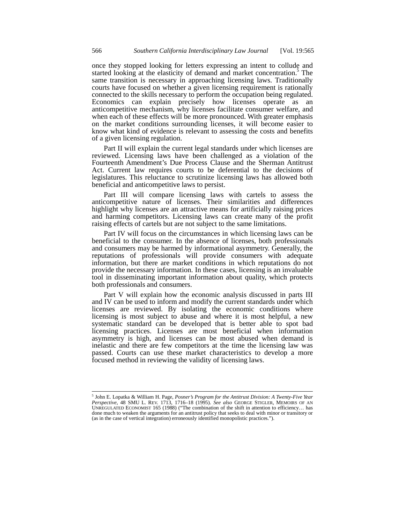once they stopped looking for letters expressing an intent to collude and started looking at the elasticity of demand and market concentration.<sup>5</sup> The same transition is necessary in approaching licensing laws. Traditionally courts have focused on whether a given licensing requirement is rationally connected to the skills necessary to perform the occupation being regulated. Economics can explain precisely how licenses operate as an anticompetitive mechanism, why licenses facilitate consumer welfare, and when each of these effects will be more pronounced. With greater emphasis on the market conditions surrounding licenses, it will become easier to know what kind of evidence is relevant to assessing the costs and benefits of a given licensing regulation.

Part II will explain the current legal standards under which licenses are reviewed. Licensing laws have been challenged as a violation of the Fourteenth Amendment's Due Process Clause and the Sherman Antitrust Act. Current law requires courts to be deferential to the decisions of legislatures. This reluctance to scrutinize licensing laws has allowed both beneficial and anticompetitive laws to persist.

Part III will compare licensing laws with cartels to assess the anticompetitive nature of licenses. Their similarities and differences highlight why licenses are an attractive means for artificially raising prices and harming competitors. Licensing laws can create many of the profit raising effects of cartels but are not subject to the same limitations.

Part IV will focus on the circumstances in which licensing laws can be beneficial to the consumer. In the absence of licenses, both professionals and consumers may be harmed by informational asymmetry. Generally, the reputations of professionals will provide consumers with adequate information, but there are market conditions in which reputations do not provide the necessary information. In these cases, licensing is an invaluable tool in disseminating important information about quality, which protects both professionals and consumers.

Part V will explain how the economic analysis discussed in parts III and IV can be used to inform and modify the current standards under which licenses are reviewed. By isolating the economic conditions where licensing is most subject to abuse and where it is most helpful, a new systematic standard can be developed that is better able to spot bad licensing practices. Licenses are most beneficial when information asymmetry is high, and licenses can be most abused when demand is inelastic and there are few competitors at the time the licensing law was passed. Courts can use these market characteristics to develop a more focused method in reviewing the validity of licensing laws.

<sup>5</sup> John E. Lopatka & William H. Page, *Posner's Program for the Antitrust Division: A Twenty-Five Year Perspective*, 48 SMU L. REV. 1713, 1716–18 (1995). *See also* GEORGE STIGLER, MEMOIRS OF AN UNREGULATED ECONOMIST 165 (1988) ("The combination of the shift in attention to efficiency... has done much to weaken the arguments for an antitrust policy that seeks to deal with minor or transitory or (as in the case of vertical integration) erroneously identified monopolistic practices.").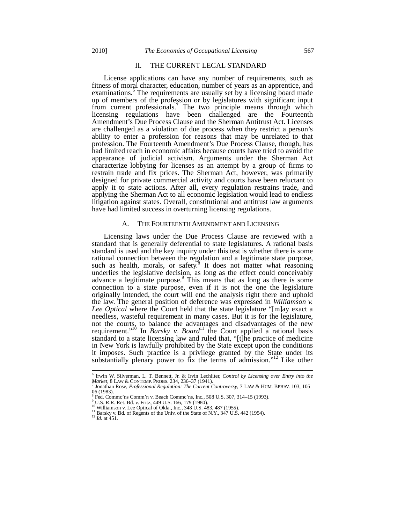# II. THE CURRENT LEGAL STANDARD

License applications can have any number of requirements, such as fitness of moral character, education, number of years as an apprentice, and examinations.<sup>6</sup> The requirements are usually set by a licensing board made up of members of the profession or by legislatures with significant input from current professionals.7 The two principle means through which licensing regulations have been challenged are the Fourteenth Amendment's Due Process Clause and the Sherman Antitrust Act. Licenses are challenged as a violation of due process when they restrict a person's ability to enter a profession for reasons that may be unrelated to that profession. The Fourteenth Amendment's Due Process Clause, though, has had limited reach in economic affairs because courts have tried to avoid the appearance of judicial activism. Arguments under the Sherman Act characterize lobbying for licenses as an attempt by a group of firms to restrain trade and fix prices. The Sherman Act, however, was primarily designed for private commercial activity and courts have been reluctant to apply it to state actions. After all, every regulation restrains trade, and applying the Sherman Act to all economic legislation would lead to endless litigation against states. Overall, constitutional and antitrust law arguments have had limited success in overturning licensing regulations.

#### A. THE FOURTEENTH AMENDMENT AND LICENSING

Licensing laws under the Due Process Clause are reviewed with a standard that is generally deferential to state legislatures. A rational basis standard is used and the key inquiry under this test is whether there is some rational connection between the regulation and a legitimate state purpose, such as health, morals, or safety.<sup>8</sup> It does not matter what reasoning underlies the legislative decision, as long as the effect could conceivably advance a legitimate purpose.<sup>9</sup> This means that as long as there is some connection to a state purpose, even if it is not the one the legislature originally intended, the court will end the analysis right there and uphold the law. The general position of deference was expressed in *Williamson v. Lee Optical* where the Court held that the state legislature "[m]ay exact a needless, wasteful requirement in many cases. But it is for the legislature, not the courts, to balance the advantages and disadvantages of the new requirement."<sup>10</sup> In *Barsky v. Board*<sup>11</sup> the Court applied a rational basis standard to a state licensing law and ruled that, "[t]he practice of medicine in New York is lawfully prohibited by the State except upon the conditions it imposes. Such practice is a privilege granted by the State under its substantially plenary power to fix the terms of admission."<sup>12</sup> Like other

<sup>6</sup> Irwin W. Silverman, L. T. Bennett, Jr. & Irvin Lechliter, *Control by Licensing over Entry into the Market*, 8 LAW & CONTEMP. PROBS. 234, 236–37 (1941). <sup>7</sup> Jonathan Rose, *Professional Regulation: The Current Controversy*, 7 LAW & HUM. BEHAV. 103, 105–

<sup>06 (1983).&</sup>lt;br>
Eved. Comme'ns Comm'n v. Beach Comme'ns, Inc., 508 U.S. 307, 314–15 (1993).

<sup>&</sup>lt;sup>9</sup> U.S. R.R. Ret. Bd. v. Fritz, 449 U.S. 166, 179 (1980).<br><sup>10</sup> Williamson v. Lee Optical of Okla., Inc., 348 U.S. 483, 487 (1955).<br><sup>11</sup> Barsky v. Bd. of Regents of the Univ. of the State of N.Y., 347 U.S. 442 (1954).<br><sup>12</sup>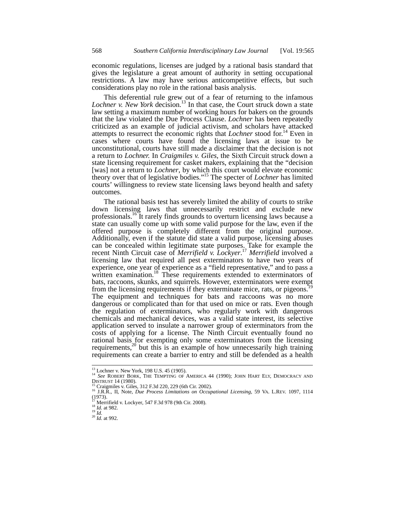economic regulations, licenses are judged by a rational basis standard that gives the legislature a great amount of authority in setting occupational restrictions. A law may have serious anticompetitive effects, but such considerations play no role in the rational basis analysis.

This deferential rule grew out of a fear of returning to the infamous Lochner v. New York decision.<sup>13</sup> In that case, the Court struck down a state law setting a maximum number of working hours for bakers on the grounds that the law violated the Due Process Clause. *Lochner* has been repeatedly criticized as an example of judicial activism, and scholars have attacked attempts to resurrect the economic rights that *Lochner* stood for.14 Even in cases where courts have found the licensing laws at issue to be unconstitutional, courts have still made a disclaimer that the decision is not a return to *Lochner.* In *Craigmiles v. Giles*, the Sixth Circuit struck down a state licensing requirement for casket makers, explaining that the "decision [was] not a return to *Lochner*, by which this court would elevate economic theory over that of legislative bodies."15 The specter of *Lochner* has limited courts' willingness to review state licensing laws beyond health and safety outcomes.

The rational basis test has severely limited the ability of courts to strike down licensing laws that unnecessarily restrict and exclude new professionals.<sup>16</sup> It rarely finds grounds to overturn licensing laws because a state can usually come up with some valid purpose for the law, even if the offered purpose is completely different from the original purpose. Additionally, even if the statute did state a valid purpose, licensing abuses can be concealed within legitimate state purposes. Take for example the recent Ninth Circuit case of *Merrifield v. Lockyer*. <sup>17</sup> *Merrifield* involved a licensing law that required all pest exterminators to have two years of experience, one year of experience as a "field representative," and to pass a written examination.<sup>18</sup> These requirements extended to exterminators of bats, raccoons, skunks, and squirrels. However, exterminators were exempt from the licensing requirements if they exterminate mice, rats, or pigeons.<sup>1</sup> The equipment and techniques for bats and raccoons was no more dangerous or complicated than for that used on mice or rats. Even though the regulation of exterminators, who regularly work with dangerous chemicals and mechanical devices, was a valid state interest, its selective application served to insulate a narrower group of exterminators from the costs of applying for a license. The Ninth Circuit eventually found no rational basis for exempting only some exterminators from the licensing requirements,<sup>20</sup> but this is an example of how unnecessarily high training requirements can create a barrier to entry and still be defended as a health

<sup>&</sup>lt;sup>13</sup> Lochner v. New York, 198 U.S. 45 (1905).<br><sup>14</sup> *See* ROBERT BORK, THE TEMPTING OF AMERICA 44 (1990); JOHN HART ELY, DEMOCRACY AND DISTRUST 14 (1980).<br><sup>15</sup> Craigmiles v. Giles, 312 F.3d 220, 229 (6th Cir. 2002).<br><sup>16</sup> J.R.R., II, Note, *Due Process Limitations on Occupational Licensing*, 59 VA. L.REV. 1097, 1114

 $(1973)$ .

<sup>17</sup> Merrifield v. Lockyer*,* 547 F.3d 978 (9th Cir. 2008). <sup>18</sup> *Id.* at 982. <sup>19</sup> *Id.* <sup>20</sup> *Id.* at 992.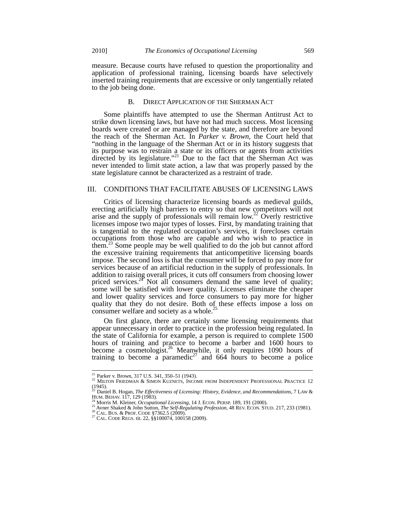measure. Because courts have refused to question the proportionality and application of professional training, licensing boards have selectively inserted training requirements that are excessive or only tangentially related to the job being done.

# B. DIRECT APPLICATION OF THE SHERMAN ACT

Some plaintiffs have attempted to use the Sherman Antitrust Act to strike down licensing laws, but have not had much success. Most licensing boards were created or are managed by the state, and therefore are beyond the reach of the Sherman Act. In *Parker v. Brown*, the Court held that "nothing in the language of the Sherman Act or in its history suggests that its purpose was to restrain a state or its officers or agents from activities directed by its legislature."<sup>21</sup> Due to the fact that the Sherman Act was never intended to limit state action, a law that was properly passed by the state legislature cannot be characterized as a restraint of trade.

# III. CONDITIONS THAT FACILITATE ABUSES OF LICENSING LAWS

Critics of licensing characterize licensing boards as medieval guilds, erecting artificially high barriers to entry so that new competitors will not arise and the supply of professionals will remain low.<sup>22</sup> Overly restrictive licenses impose two major types of losses. First, by mandating training that is tangential to the regulated occupation's services, it forecloses certain occupations from those who are capable and who wish to practice in them.<sup>23</sup> Some people may be well qualified to do the job but cannot afford the excessive training requirements that anticompetitive licensing boards impose. The second loss is that the consumer will be forced to pay more for services because of an artificial reduction in the supply of professionals. In addition to raising overall prices, it cuts off consumers from choosing lower priced services.<sup>24</sup> Not all consumers demand the same level of quality; some will be satisfied with lower quality. Licenses eliminate the cheaper and lower quality services and force consumers to pay more for higher quality that they do not desire. Both of these effects impose a loss on consumer welfare and society as a whole.<sup>2</sup>

On first glance, there are certainly some licensing requirements that appear unnecessary in order to practice in the profession being regulated. In the state of California for example, a person is required to complete 1500 hours of training and practice to become a barber and 1600 hours to become a cosmetologist.<sup>26</sup> Meanwhile, it only requires 1090 hours of training to become a paramedic<sup>27</sup> and 664 hours to become a police

<sup>&</sup>lt;sup>21</sup> Parker v. Brown, 317 U.S. 341, 350-51 (1943).

<sup>&</sup>lt;sup>21</sup> MILTON FRIEDMAN & SIMON KUZNETS, INCOME FROM INDEPENDENT PROFESSIONAL PRACTICE 12 (1945). <sup>23</sup> Daniel B. Hogan, *The Effectiveness of Licensing: History, Evidence, and Recommendations*, 7 LAW &

HUM. BEHAV. 117, 129 (1983).<br><sup>24</sup> Morris M. Kleiner, *Occupational Licensing*, 14 J. ECON. PERSP. 189, 191 (2000).<br><sup>25</sup> Avner Shaked & John Sutton, *The Self-Regulating Profession*, 48 REV. ECON. STUD. 217, 233 (1981).<br><sup>26</sup>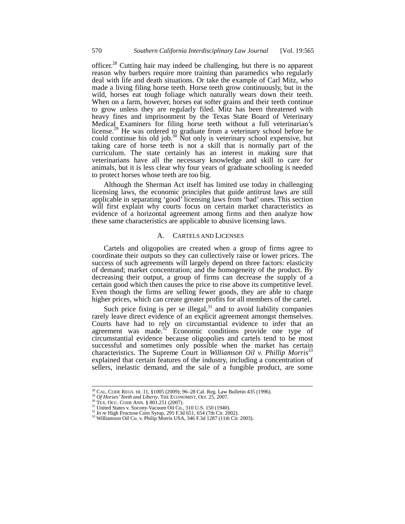officer.<sup>28</sup> Cutting hair may indeed be challenging, but there is no apparent reason why barbers require more training than paramedics who regularly deal with life and death situations. Or take the example of Carl Mitz, who made a living filing horse teeth. Horse teeth grow continuously, but in the wild, horses eat tough foliage which naturally wears down their teeth. When on a farm, however, horses eat softer grains and their teeth continue to grow unless they are regularly filed. Mitz has been threatened with heavy fines and imprisonment by the Texas State Board of Veterinary Medical Examiners for filing horse teeth without a full veterinarian's license.<sup>29</sup> He was ordered to graduate from a veterinary school before he could continue his old job.<sup>30</sup> Not only is veterinary school expensive, but taking care of horse teeth is not a skill that is normally part of the curriculum. The state certainly has an interest in making sure that veterinarians have all the necessary knowledge and skill to care for animals, but it is less clear why four years of graduate schooling is needed to protect horses whose teeth are too big.

Although the Sherman Act itself has limited use today in challenging licensing laws, the economic principles that guide antitrust laws are still applicable in separating 'good' licensing laws from 'bad' ones. This section will first explain why courts focus on certain market characteristics as evidence of a horizontal agreement among firms and then analyze how these same characteristics are applicable to abusive licensing laws.

# A. CARTELS AND LICENSES

Cartels and oligopolies are created when a group of firms agree to coordinate their outputs so they can collectively raise or lower prices. The success of such agreements will largely depend on three factors: elasticity of demand; market concentration; and the homogeneity of the product. By decreasing their output, a group of firms can decrease the supply of a certain good which then causes the price to rise above its competitive level. Even though the firms are selling fewer goods, they are able to charge higher prices, which can create greater profits for all members of the cartel.

Such price fixing is per se illegal, $31$  and to avoid liability companies rarely leave direct evidence of an explicit agreement amongst themselves. Courts have had to rely on circumstantial evidence to infer that an agreement was made. $32^{\circ}$  Economic conditions provide one type of circumstantial evidence because oligopolies and cartels tend to be most successful and sometimes only possible when the market has certain characteristics. The Supreme Court in *Williamson Oil v. Phillip Morris*<sup>33</sup> explained that certain features of the industry, including a concentration of sellers, inelastic demand, and the sale of a fungible product, are some

<sup>&</sup>lt;sup>28</sup> CAL. CODE REGS. tit. 11, §1005 (2009); 96–28 Cal. Reg. Law Bulletin 435 (1996).<br><sup>29</sup> *Of Horses' Teeth and Liberty*, THE ECONOMIST, Oct. 25, 2007.<br><sup>31</sup> United States v. Socony-Vacuum Oil Co., 310 U.S. 150 (1940).<br><sup>31</sup>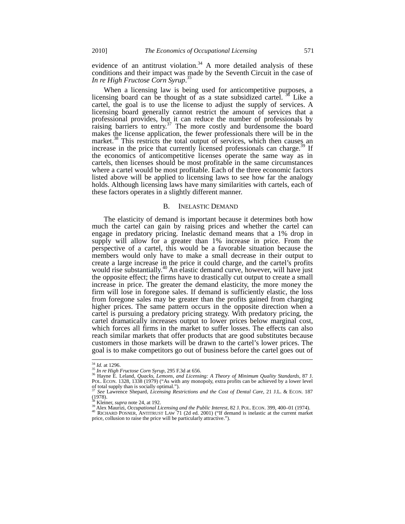evidence of an antitrust violation.<sup>34</sup> A more detailed analysis of these conditions and their impact was made by the Seventh Circuit in the case of *In re High Fructose Corn Syrup*. 35

When a licensing law is being used for anticompetitive purposes, a licensing board can be thought of as a state subsidized cartel. <sup>36</sup> Like a cartel, the goal is to use the license to adjust the supply of services. A licensing board generally cannot restrict the amount of services that a professional provides, but it can reduce the number of professionals by raising barriers to entry.<sup>37</sup> The more costly and burdensome the board makes the license application, the fewer professionals there will be in the market.<sup>38</sup> This restricts the total output of services, which then causes an increase in the price that currently licensed professionals can charge.<sup>39</sup> If the economics of anticompetitive licenses operate the same way as in cartels, then licenses should be most profitable in the same circumstances where a cartel would be most profitable. Each of the three economic factors listed above will be applied to licensing laws to see how far the analogy holds. Although licensing laws have many similarities with cartels, each of these factors operates in a slightly different manner.

# B. INELASTIC DEMAND

The elasticity of demand is important because it determines both how much the cartel can gain by raising prices and whether the cartel can engage in predatory pricing. Inelastic demand means that a 1% drop in supply will allow for a greater than 1% increase in price. From the perspective of a cartel, this would be a favorable situation because the members would only have to make a small decrease in their output to create a large increase in the price it could charge, and the cartel's profits would rise substantially.<sup>40</sup> An elastic demand curve, however, will have just the opposite effect; the firms have to drastically cut output to create a small increase in price. The greater the demand elasticity, the more money the firm will lose in foregone sales. If demand is sufficiently elastic, the loss from foregone sales may be greater than the profits gained from charging higher prices. The same pattern occurs in the opposite direction when a cartel is pursuing a predatory pricing strategy. With predatory pricing, the cartel dramatically increases output to lower prices below marginal cost, which forces all firms in the market to suffer losses. The effects can also reach similar markets that offer products that are good substitutes because customers in those markets will be drawn to the cartel's lower prices. The goal is to make competitors go out of business before the cartel goes out of

 $^{34}$  *Id.* at 1296.

<sup>34</sup> *Id.* at 1296. <sup>35</sup> *In re High Fructose Corn Syrup,* 295 F.3d at 656. <sup>36</sup> Hayne E. Leland, *Quacks, Lemons, and Licensing: A Theory of Minimum Quality Standards*, 87 J. POL. ECON. 1328, 1338 (1979) ("As with any monopoly, extra profits can be achieved by a lower level of total supply than is socially optimal.").

<sup>37</sup> *See* Lawrence Shepard, *Licensing Restrictions and the Cost of Dental Care,* 21 J.L. & ECON. 187  $(1978)$ .

<sup>&</sup>lt;sup>33</sup> Kleiner, *supra* note 24, at 192.<br><sup>39</sup> Alex Maurizi, *Occupational Licensing and the Public Interest*, 82 J. POL. ECON. 399, 400–01 (1974).<br><sup>40</sup> RICHARD POSNER, ANTITRUST LAW 71 (2d ed. 2001) ("If demand is inelastic

price, collusion to raise the price will be particularly attractive.").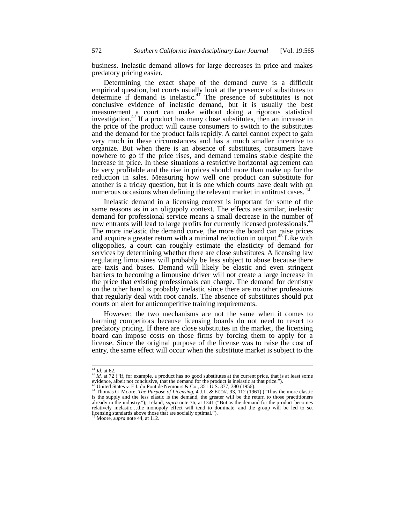business. Inelastic demand allows for large decreases in price and makes predatory pricing easier.

Determining the exact shape of the demand curve is a difficult empirical question, but courts usually look at the presence of substitutes to determine if demand is inelastic.<sup>41</sup> The presence of substitutes is not conclusive evidence of inelastic demand, but it is usually the best measurement a court can make without doing a rigorous statistical investigation.<sup>42</sup> If a product has many close substitutes, then an increase in the price of the product will cause consumers to switch to the substitutes and the demand for the product falls rapidly. A cartel cannot expect to gain very much in these circumstances and has a much smaller incentive to organize. But when there is an absence of substitutes, consumers have nowhere to go if the price rises, and demand remains stable despite the increase in price. In these situations a restrictive horizontal agreement can be very profitable and the rise in prices should more than make up for the reduction in sales. Measuring how well one product can substitute for another is a tricky question, but it is one which courts have dealt with on numerous occasions when defining the relevant market in antitrust cases.

Inelastic demand in a licensing context is important for some of the same reasons as in an oligopoly context. The effects are similar, inelastic demand for professional service means a small decrease in the number of new entrants will lead to large profits for currently licensed professionals.<sup>4</sup> The more inelastic the demand curve, the more the board can raise prices and acquire a greater return with a minimal reduction in output.<sup>45</sup> Like with oligopolies, a court can roughly estimate the elasticity of demand for services by determining whether there are close substitutes. A licensing law regulating limousines will probably be less subject to abuse because there are taxis and buses. Demand will likely be elastic and even stringent barriers to becoming a limousine driver will not create a large increase in the price that existing professionals can charge. The demand for dentistry on the other hand is probably inelastic since there are no other professions that regularly deal with root canals. The absence of substitutes should put courts on alert for anticompetitive training requirements.

However, the two mechanisms are not the same when it comes to harming competitors because licensing boards do not need to resort to predatory pricing. If there are close substitutes in the market, the licensing board can impose costs on those firms by forcing them to apply for a license. Since the original purpose of the license was to raise the cost of entry, the same effect will occur when the substitute market is subject to the

<sup>&</sup>lt;sup>41</sup> *Id.* at 62.<br><sup>42</sup> *Id.* at 72 ("If, for example, a product has no good substitutes at the current price, that is at least some evidence, albeit not conclusive, that the demand for the product is inelastic at that price."). at at the conclusive, that the demand for the product is inelastic at that price.").<br>evidence, albeit not conclusive, that the demand for the product is inelastic at that price.").<br><sup>43</sup> United States v. E.I. du Pont de Nem

is the supply and the less elastic is the demand, the greater will be the return to those practitioners already in the industry."); Leland, *supra* note 36, at 1341 ("But as the demand for the product becomes relatively inelastic…the monopoly effect will tend to dominate, and the group will be led to set licensing standards above those that are socially optimal.").

<sup>45</sup> Moore, *supra* note 44, at 112.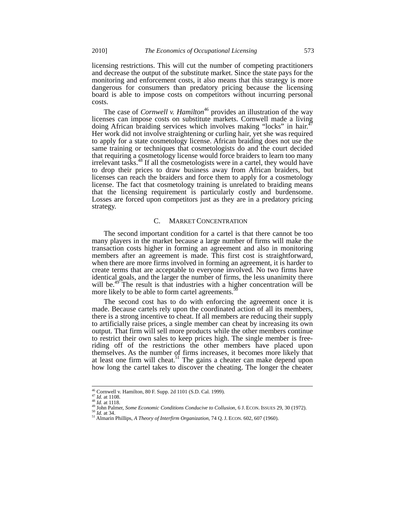licensing restrictions. This will cut the number of competing practitioners and decrease the output of the substitute market. Since the state pays for the monitoring and enforcement costs, it also means that this strategy is more dangerous for consumers than predatory pricing because the licensing board is able to impose costs on competitors without incurring personal costs.

The case of *Cornwell v. Hamilton*<sup>46</sup> provides an illustration of the way licenses can impose costs on substitute markets. Cornwell made a living doing African braiding services which involves making "locks" in hair.<sup>4</sup> Her work did not involve straightening or curling hair, yet she was required to apply for a state cosmetology license. African braiding does not use the same training or techniques that cosmetologists do and the court decided that requiring a cosmetology license would force braiders to learn too many irrelevant tasks.<sup>48</sup> If all the cosmetologists were in a cartel, they would have to drop their prices to draw business away from African braiders, but licenses can reach the braiders and force them to apply for a cosmetology license. The fact that cosmetology training is unrelated to braiding means that the licensing requirement is particularly costly and burdensome. Losses are forced upon competitors just as they are in a predatory pricing strategy.

# C. MARKET CONCENTRATION

The second important condition for a cartel is that there cannot be too many players in the market because a large number of firms will make the transaction costs higher in forming an agreement and also in monitoring members after an agreement is made. This first cost is straightforward, when there are more firms involved in forming an agreement, it is harder to create terms that are acceptable to everyone involved. No two firms have identical goals, and the larger the number of firms, the less unanimity there will be.<sup>49</sup> The result is that industries with a higher concentration will be more likely to be able to form cartel agreements.<sup>5</sup>

The second cost has to do with enforcing the agreement once it is made. Because cartels rely upon the coordinated action of all its members, there is a strong incentive to cheat. If all members are reducing their supply to artificially raise prices, a single member can cheat by increasing its own output. That firm will sell more products while the other members continue to restrict their own sales to keep prices high. The single member is freeriding off of the restrictions the other members have placed upon themselves. As the number of firms increases, it becomes more likely that at least one firm will cheat.<sup>51</sup> The gains a cheater can make depend upon how long the cartel takes to discover the cheating. The longer the cheater

<sup>&</sup>lt;sup>46</sup> Cornwell v. Hamilton, 80 F. Supp. 2d 1101 (S.D. Cal. 1999).<br><sup>47</sup> *Id.* at 1108.

<sup>&</sup>lt;sup>48</sup> Id. at 1118.<br><sup>49</sup> John Palmer, *Some Economic Conditions Conducive to Collusion*, 6 J. ECON. ISSUES 29, 30 (1972).<br><sup>50</sup> Id. at 34.<br><sup>51</sup> Almarin Phillips, *A Theory of Interfirm Organization*, 74 Q. J. ECON. 602, 607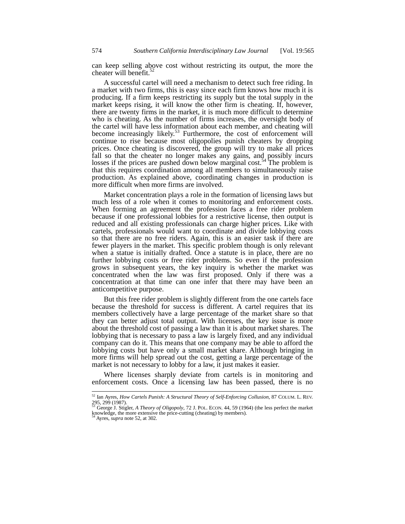can keep selling above cost without restricting its output, the more the cheater will benefit.<sup>52</sup>

A successful cartel will need a mechanism to detect such free riding. In a market with two firms, this is easy since each firm knows how much it is producing. If a firm keeps restricting its supply but the total supply in the market keeps rising, it will know the other firm is cheating. If, however, there are twenty firms in the market, it is much more difficult to determine who is cheating. As the number of firms increases, the oversight body of the cartel will have less information about each member, and cheating will become increasingly likely.<sup>53</sup> Furthermore, the cost of enforcement will continue to rise because most oligopolies punish cheaters by dropping prices. Once cheating is discovered, the group will try to make all prices fall so that the cheater no longer makes any gains, and possibly incurs losses if the prices are pushed down below marginal cost.<sup>54</sup> The problem is that this requires coordination among all members to simultaneously raise production. As explained above, coordinating changes in production is more difficult when more firms are involved.

Market concentration plays a role in the formation of licensing laws but much less of a role when it comes to monitoring and enforcement costs. When forming an agreement the profession faces a free rider problem because if one professional lobbies for a restrictive license, then output is reduced and all existing professionals can charge higher prices. Like with cartels, professionals would want to coordinate and divide lobbying costs so that there are no free riders. Again, this is an easier task if there are fewer players in the market. This specific problem though is only relevant when a statue is initially drafted. Once a statute is in place, there are no further lobbying costs or free rider problems. So even if the profession grows in subsequent years, the key inquiry is whether the market was concentrated when the law was first proposed. Only if there was a concentration at that time can one infer that there may have been an anticompetitive purpose.

But this free rider problem is slightly different from the one cartels face because the threshold for success is different. A cartel requires that its members collectively have a large percentage of the market share so that they can better adjust total output. With licenses, the key issue is more about the threshold cost of passing a law than it is about market shares. The lobbying that is necessary to pass a law is largely fixed, and any individual company can do it. This means that one company may be able to afford the lobbying costs but have only a small market share. Although bringing in more firms will help spread out the cost, getting a large percentage of the market is not necessary to lobby for a law, it just makes it easier.

Where licenses sharply deviate from cartels is in monitoring and enforcement costs. Once a licensing law has been passed, there is no

<sup>52</sup> Ian Ayres, *How Cartels Punish: A Structural Theory of Self-Enforcing Collusion,* 87 COLUM. L. REV. 295, 299 (1987). <sup>53</sup> George J. Stigler, *A Theory of Oligopoly*, 72 J. POL. ECON. 44, 59 (1964) (the less perfect the market

knowledge, the more extensive the price-cutting (cheating) by members).

<sup>54</sup> Ayres, *supra* note 52, at 302.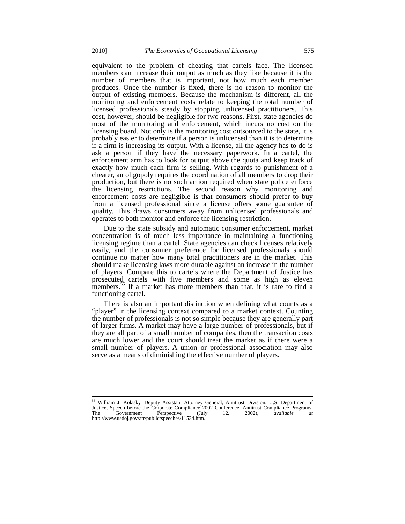equivalent to the problem of cheating that cartels face. The licensed members can increase their output as much as they like because it is the number of members that is important, not how much each member produces. Once the number is fixed, there is no reason to monitor the output of existing members. Because the mechanism is different, all the monitoring and enforcement costs relate to keeping the total number of licensed professionals steady by stopping unlicensed practitioners. This cost, however, should be negligible for two reasons. First, state agencies do most of the monitoring and enforcement, which incurs no cost on the licensing board. Not only is the monitoring cost outsourced to the state, it is probably easier to determine if a person is unlicensed than it is to determine if a firm is increasing its output. With a license, all the agency has to do is ask a person if they have the necessary paperwork. In a cartel, the enforcement arm has to look for output above the quota and keep track of exactly how much each firm is selling. With regards to punishment of a cheater, an oligopoly requires the coordination of all members to drop their production, but there is no such action required when state police enforce the licensing restrictions. The second reason why monitoring and enforcement costs are negligible is that consumers should prefer to buy from a licensed professional since a license offers some guarantee of quality. This draws consumers away from unlicensed professionals and operates to both monitor and enforce the licensing restriction.

Due to the state subsidy and automatic consumer enforcement, market concentration is of much less importance in maintaining a functioning licensing regime than a cartel. State agencies can check licenses relatively easily, and the consumer preference for licensed professionals should continue no matter how many total practitioners are in the market. This should make licensing laws more durable against an increase in the number of players. Compare this to cartels where the Department of Justice has prosecuted cartels with five members and some as high as eleven members.<sup>55</sup> If a market has more members than that, it is rare to find a functioning cartel.

There is also an important distinction when defining what counts as a "player" in the licensing context compared to a market context. Counting the number of professionals is not so simple because they are generally part of larger firms. A market may have a large number of professionals, but if they are all part of a small number of companies, then the transaction costs are much lower and the court should treat the market as if there were a small number of players. A union or professional association may also serve as a means of diminishing the effective number of players.

<sup>&</sup>lt;sup>55</sup> William J. Kolasky, Deputy Assistant Attorney General, Antitrust Division, U.S. Department of Justice, Speech before the Corporate Compliance 2002 Conference: Antitrust Compliance Programs: The Government Perspective (July 12, 2002), *available at* http://www.usdoj.gov/atr/public/speeches/11534.htm.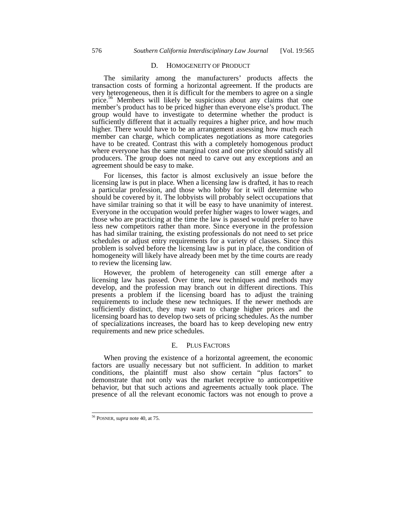# D. HOMOGENEITY OF PRODUCT

The similarity among the manufacturers' products affects the transaction costs of forming a horizontal agreement. If the products are very heterogeneous, then it is difficult for the members to agree on a single price.<sup>56</sup> Members will likely be suspicious about any claims that one member's product has to be priced higher than everyone else's product. The group would have to investigate to determine whether the product is sufficiently different that it actually requires a higher price, and how much higher. There would have to be an arrangement assessing how much each member can charge, which complicates negotiations as more categories have to be created. Contrast this with a completely homogenous product where everyone has the same marginal cost and one price should satisfy all producers. The group does not need to carve out any exceptions and an agreement should be easy to make.

For licenses, this factor is almost exclusively an issue before the licensing law is put in place. When a licensing law is drafted, it has to reach a particular profession, and those who lobby for it will determine who should be covered by it. The lobbyists will probably select occupations that have similar training so that it will be easy to have unanimity of interest. Everyone in the occupation would prefer higher wages to lower wages, and those who are practicing at the time the law is passed would prefer to have less new competitors rather than more. Since everyone in the profession has had similar training, the existing professionals do not need to set price schedules or adjust entry requirements for a variety of classes. Since this problem is solved before the licensing law is put in place, the condition of homogeneity will likely have already been met by the time courts are ready to review the licensing law.

However, the problem of heterogeneity can still emerge after a licensing law has passed. Over time, new techniques and methods may develop, and the profession may branch out in different directions. This presents a problem if the licensing board has to adjust the training requirements to include these new techniques. If the newer methods are sufficiently distinct, they may want to charge higher prices and the licensing board has to develop two sets of pricing schedules. As the number of specializations increases, the board has to keep developing new entry requirements and new price schedules.

# E. PLUS FACTORS

When proving the existence of a horizontal agreement, the economic factors are usually necessary but not sufficient. In addition to market conditions, the plaintiff must also show certain "plus factors" to demonstrate that not only was the market receptive to anticompetitive behavior, but that such actions and agreements actually took place. The presence of all the relevant economic factors was not enough to prove a

<sup>56</sup> POSNER, *supra* note 40, at 75.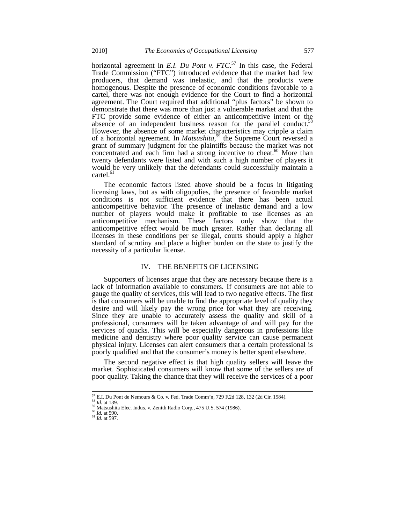horizontal agreement in *E.I. Du Pont v. FTC*. <sup>57</sup> In this case, the Federal Trade Commission ("FTC") introduced evidence that the market had few producers, that demand was inelastic, and that the products were homogenous. Despite the presence of economic conditions favorable to a cartel, there was not enough evidence for the Court to find a horizontal agreement. The Court required that additional "plus factors" be shown to demonstrate that there was more than just a vulnerable market and that the FTC provide some evidence of either an anticompetitive intent or the absence of an independent business reason for the parallel conduct.<sup>58</sup> However, the absence of some market characteristics may cripple a claim of a horizontal agreement. In *Matsushita*, <sup>59</sup> the Supreme Court reversed a grant of summary judgment for the plaintiffs because the market was not concentrated and each firm had a strong incentive to cheat.<sup>60</sup> More than twenty defendants were listed and with such a high number of players it would be very unlikely that the defendants could successfully maintain a  $cartel.<sup>61</sup>$ 

The economic factors listed above should be a focus in litigating licensing laws, but as with oligopolies, the presence of favorable market conditions is not sufficient evidence that there has been actual anticompetitive behavior. The presence of inelastic demand and a low number of players would make it profitable to use licenses as an anticompetitive mechanism. These factors only show that the anticompetitive effect would be much greater. Rather than declaring all licenses in these conditions per se illegal, courts should apply a higher standard of scrutiny and place a higher burden on the state to justify the necessity of a particular license.

#### IV. THE BENEFITS OF LICENSING

Supporters of licenses argue that they are necessary because there is a lack of information available to consumers. If consumers are not able to gauge the quality of services, this will lead to two negative effects. The first is that consumers will be unable to find the appropriate level of quality they desire and will likely pay the wrong price for what they are receiving. Since they are unable to accurately assess the quality and skill of a professional, consumers will be taken advantage of and will pay for the services of quacks. This will be especially dangerous in professions like medicine and dentistry where poor quality service can cause permanent physical injury. Licenses can alert consumers that a certain professional is poorly qualified and that the consumer's money is better spent elsewhere.

The second negative effect is that high quality sellers will leave the market. Sophisticated consumers will know that some of the sellers are of poor quality. Taking the chance that they will receive the services of a poor

<sup>&</sup>lt;sup>57</sup> E.I. Du Pont de Nemours & Co. v. Fed. Trade Comm'n, 729 F.2d 128, 132 (2d Cir. 1984).<br><sup>58</sup> Matsushita Elec. Indus. v. Zenith Radio Corp., 475 U.S. 574 (1986).<br><sup>59</sup> Matsushita Elec. Indus. v. Zenith Radio Corp., 475 U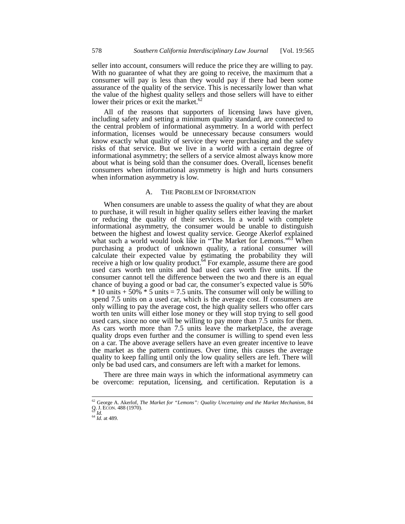seller into account, consumers will reduce the price they are willing to pay. With no guarantee of what they are going to receive, the maximum that a consumer will pay is less than they would pay if there had been some assurance of the quality of the service. This is necessarily lower than what the value of the highest quality sellers and those sellers will have to either lower their prices or exit the market. $62$ 

All of the reasons that supporters of licensing laws have given, including safety and setting a minimum quality standard, are connected to the central problem of informational asymmetry. In a world with perfect information, licenses would be unnecessary because consumers would know exactly what quality of service they were purchasing and the safety risks of that service. But we live in a world with a certain degree of informational asymmetry; the sellers of a service almost always know more about what is being sold than the consumer does. Overall, licenses benefit consumers when informational asymmetry is high and hurts consumers when information asymmetry is low.

# A. THE PROBLEM OF INFORMATION

When consumers are unable to assess the quality of what they are about to purchase, it will result in higher quality sellers either leaving the market or reducing the quality of their services. In a world with complete informational asymmetry, the consumer would be unable to distinguish between the highest and lowest quality service. George Akerlof explained what such a world would look like in "The Market for Lemons."<sup>63</sup> When purchasing a product of unknown quality, a rational consumer will calculate their expected value by estimating the probability they will receive a high or low quality product.<sup>64</sup> For example, assume there are good used cars worth ten units and bad used cars worth five units. If the consumer cannot tell the difference between the two and there is an equal chance of buying a good or bad car, the consumer's expected value is 50%  $*$  10 units + 50%  $*$  5 units = 7.5 units. The consumer will only be willing to spend 7.5 units on a used car, which is the average cost. If consumers are only willing to pay the average cost, the high quality sellers who offer cars worth ten units will either lose money or they will stop trying to sell good used cars, since no one will be willing to pay more than 7.5 units for them. As cars worth more than 7.5 units leave the marketplace, the average quality drops even further and the consumer is willing to spend even less on a car. The above average sellers have an even greater incentive to leave the market as the pattern continues. Over time, this causes the average quality to keep falling until only the low quality sellers are left. There will only be bad used cars, and consumers are left with a market for lemons.

There are three main ways in which the informational asymmetry can be overcome: reputation, licensing, and certification. Reputation is a

<sup>62</sup> George A. Akerlof, *The Market for "Lemons": Quality Uncertainty and the Market Mechanism*, 84 Q. J. ECON. 488 (1970). <sup>63</sup> *Id.* <sup>64</sup> *Id.* at 489.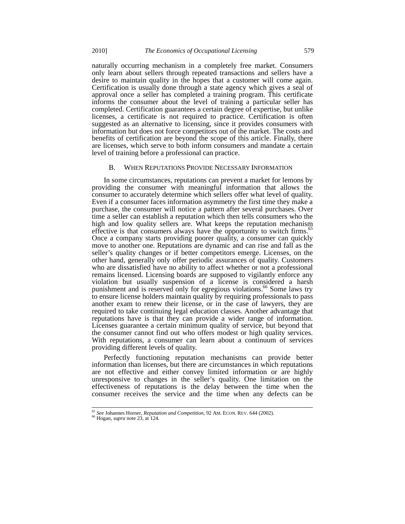naturally occurring mechanism in a completely free market. Consumers only learn about sellers through repeated transactions and sellers have a desire to maintain quality in the hopes that a customer will come again. Certification is usually done through a state agency which gives a seal of approval once a seller has completed a training program. This certificate informs the consumer about the level of training a particular seller has completed. Certification guarantees a certain degree of expertise, but unlike licenses, a certificate is not required to practice. Certification is often suggested as an alternative to licensing, since it provides consumers with information but does not force competitors out of the market. The costs and benefits of certification are beyond the scope of this article. Finally, there are licenses, which serve to both inform consumers and mandate a certain level of training before a professional can practice.

# B. WHEN REPUTATIONS PROVIDE NECESSARY INFORMATION

In some circumstances, reputations can prevent a market for lemons by providing the consumer with meaningful information that allows the consumer to accurately determine which sellers offer what level of quality. Even if a consumer faces information asymmetry the first time they make a purchase, the consumer will notice a pattern after several purchases. Over time a seller can establish a reputation which then tells consumers who the high and low quality sellers are. What keeps the reputation mechanism effective is that consumers always have the opportunity to switch firms.<sup>65</sup> Once a company starts providing poorer quality, a consumer can quickly move to another one. Reputations are dynamic and can rise and fall as the seller's quality changes or if better competitors emerge. Licenses, on the other hand, generally only offer periodic assurances of quality. Customers who are dissatisfied have no ability to affect whether or not a professional remains licensed. Licensing boards are supposed to vigilantly enforce any violation but usually suspension of a license is considered a harsh punishment and is reserved only for egregious violations.<sup>66</sup> Some laws try to ensure license holders maintain quality by requiring professionals to pass another exam to renew their license, or in the case of lawyers, they are required to take continuing legal education classes. Another advantage that reputations have is that they can provide a wider range of information. Licenses guarantee a certain minimum quality of service, but beyond that the consumer cannot find out who offers modest or high quality services. With reputations, a consumer can learn about a continuum of services providing different levels of quality.

Perfectly functioning reputation mechanisms can provide better information than licenses, but there are circumstances in which reputations are not effective and either convey limited information or are highly unresponsive to changes in the seller's quality. One limitation on the effectiveness of reputations is the delay between the time when the consumer receives the service and the time when any defects can be

<sup>65</sup> *See* Johannes Horner, *Reputation and Competition*, 92 AM. ECON. REV. 644 (2002). <sup>66</sup> Hogan, *supra* note 23, at 124.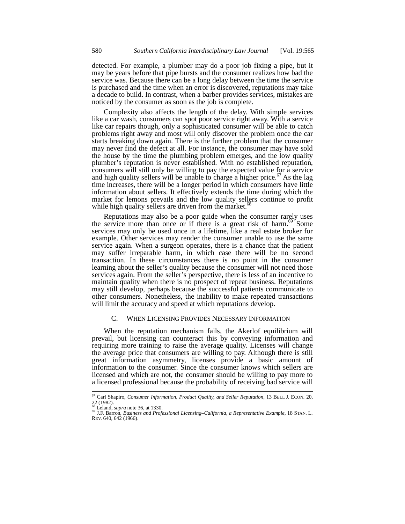detected. For example, a plumber may do a poor job fixing a pipe, but it may be years before that pipe bursts and the consumer realizes how bad the service was. Because there can be a long delay between the time the service is purchased and the time when an error is discovered, reputations may take a decade to build. In contrast, when a barber provides services, mistakes are noticed by the consumer as soon as the job is complete.

Complexity also affects the length of the delay. With simple services like a car wash, consumers can spot poor service right away. With a service like car repairs though, only a sophisticated consumer will be able to catch problems right away and most will only discover the problem once the car starts breaking down again. There is the further problem that the consumer may never find the defect at all. For instance, the consumer may have sold the house by the time the plumbing problem emerges, and the low quality plumber's reputation is never established. With no established reputation, consumers will still only be willing to pay the expected value for a service and high quality sellers will be unable to charge a higher price.<sup>67</sup> As the lag time increases, there will be a longer period in which consumers have little information about sellers. It effectively extends the time during which the market for lemons prevails and the low quality sellers continue to profit while high quality sellers are driven from the market.<sup>68</sup>

Reputations may also be a poor guide when the consumer rarely uses the service more than once or if there is a great risk of harm.<sup>69</sup> Some services may only be used once in a lifetime, like a real estate broker for example. Other services may render the consumer unable to use the same service again. When a surgeon operates, there is a chance that the patient may suffer irreparable harm, in which case there will be no second transaction. In these circumstances there is no point in the consumer learning about the seller's quality because the consumer will not need those services again. From the seller's perspective, there is less of an incentive to maintain quality when there is no prospect of repeat business. Reputations may still develop, perhaps because the successful patients communicate to other consumers. Nonetheless, the inability to make repeated transactions will limit the accuracy and speed at which reputations develop.

# C. WHEN LICENSING PROVIDES NECESSARY INFORMATION

When the reputation mechanism fails, the Akerlof equilibrium will prevail, but licensing can counteract this by conveying information and requiring more training to raise the average quality. Licenses will change the average price that consumers are willing to pay. Although there is still great information asymmetry, licenses provide a basic amount of information to the consumer. Since the consumer knows which sellers are licensed and which are not, the consumer should be willing to pay more to a licensed professional because the probability of receiving bad service will

<sup>67</sup> Carl Shapiro, *Consumer Information, Product Quality, and Seller Reputation*, 13 BELL J. ECON. 20, 22 (1982).<br><sup>68</sup> Leland, *supra* note 36, at 1330.

<sup>&</sup>lt;sup>69</sup> J.F. Barron, *Business and Professional Licensing–California, a Representative Example*, 18 STAN. L. REV. 640, 642 (1966).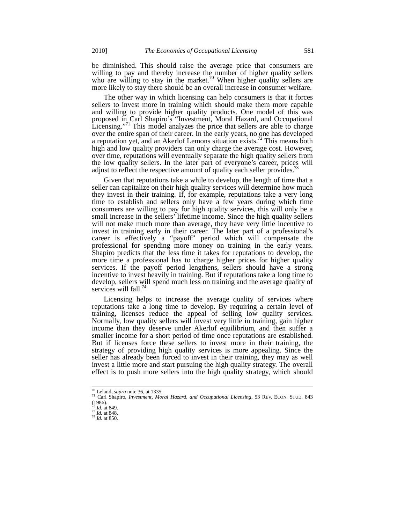be diminished. This should raise the average price that consumers are willing to pay and thereby increase the number of higher quality sellers who are willing to stay in the market.<sup>70</sup> When higher quality sellers are more likely to stay there should be an overall increase in consumer welfare.

The other way in which licensing can help consumers is that it forces sellers to invest more in training which should make them more capable and willing to provide higher quality products. One model of this was proposed in Carl Shapiro's "Investment, Moral Hazard, and Occupational Licensing."<sup>71</sup> This model analyzes the price that sellers are able to charge over the entire span of their career. In the early years, no one has developed a reputation yet, and an Akerlof Lemons situation exists.<sup>72</sup> This means both high and low quality providers can only charge the average cost. However, over time, reputations will eventually separate the high quality sellers from the low quality sellers. In the later part of everyone's career, prices will adjust to reflect the respective amount of quality each seller provides.

Given that reputations take a while to develop, the length of time that a seller can capitalize on their high quality services will determine how much they invest in their training. If, for example, reputations take a very long time to establish and sellers only have a few years during which time consumers are willing to pay for high quality services, this will only be a small increase in the sellers' lifetime income. Since the high quality sellers will not make much more than average, they have very little incentive to invest in training early in their career. The later part of a professional's career is effectively a "payoff" period which will compensate the professional for spending more money on training in the early years. Shapiro predicts that the less time it takes for reputations to develop, the more time a professional has to charge higher prices for higher quality services. If the payoff period lengthens, sellers should have a strong incentive to invest heavily in training. But if reputations take a long time to develop, sellers will spend much less on training and the average quality of services will fall.<sup>74</sup>

Licensing helps to increase the average quality of services where reputations take a long time to develop. By requiring a certain level of training, licenses reduce the appeal of selling low quality services. Normally, low quality sellers will invest very little in training, gain higher income than they deserve under Akerlof equilibrium, and then suffer a smaller income for a short period of time once reputations are established. But if licenses force these sellers to invest more in their training, the strategy of providing high quality services is more appealing. Since the seller has already been forced to invest in their training, they may as well invest a little more and start pursuing the high quality strategy. The overall effect is to push more sellers into the high quality strategy, which should

 $70$  Leland, *supra* note 36, at 1335.

<sup>70</sup> Leland, *supra* note 36, at 1335. <sup>71</sup> Carl Shapiro, *Investment, Moral Hazard, and Occupational Licensing,* 53 REV. ECON. STUD. 843

<sup>(1986).</sup> <sup>72</sup> *Id.* at 849. <sup>73</sup> *Id.* at 848. <sup>74</sup> *Id.* at 850.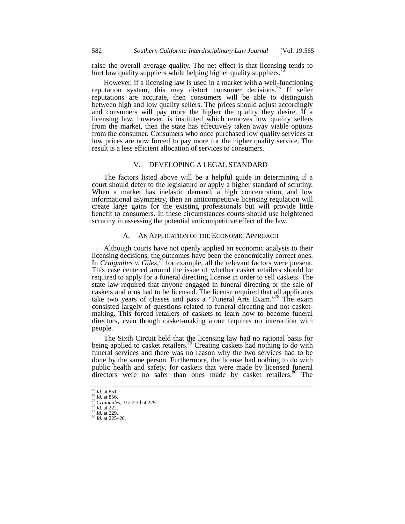raise the overall average quality. The net effect is that licensing tends to hurt low quality suppliers while helping higher quality suppliers.<sup>7</sup>

However, if a licensing law is used in a market with a well-functioning reputation system, this may distort consumer decisions.<sup>76</sup> If seller reputations are accurate, then consumers will be able to distinguish between high and low quality sellers. The prices should adjust accordingly and consumers will pay more the higher the quality they desire. If a licensing law, however, is instituted which removes low quality sellers from the market, then the state has effectively taken away viable options from the consumer. Consumers who once purchased low quality services at low prices are now forced to pay more for the higher quality service. The result is a less efficient allocation of services to consumers.

# V. DEVELOPING A LEGAL STANDARD

The factors listed above will be a helpful guide in determining if a court should defer to the legislature or apply a higher standard of scrutiny. When a market has inelastic demand, a high concentration, and low informational asymmetry, then an anticompetitive licensing regulation will create large gains for the existing professionals but will provide little benefit to consumers. In these circumstances courts should use heightened scrutiny in assessing the potential anticompetitive effect of the law.

# A. AN APPLICATION OF THE ECONOMIC APPROACH

Although courts have not openly applied an economic analysis to their licensing decisions, the outcomes have been the economically correct ones. In *Craigmiles v. Giles*,<sup>77</sup> for example, all the relevant factors were present. This case centered around the issue of whether casket retailers should be required to apply for a funeral directing license in order to sell caskets. The state law required that anyone engaged in funeral directing or the sale of caskets and urns had to be licensed. The license required that all applicants take two years of classes and pass a "Funeral Arts Exam."78 The exam consisted largely of questions related to funeral directing and not casketmaking. This forced retailers of caskets to learn how to become funeral directors, even though casket-making alone requires no interaction with people.

The Sixth Circuit held that the licensing law had no rational basis for being applied to casket retailers.<sup>79</sup> Creating caskets had nothing to do with funeral services and there was no reason why the two services had to be done by the same person. Furthermore, the license had nothing to do with public health and safety, for caskets that were made by licensed funeral directors were no safer than ones made by casket retailers.<sup>80</sup> The

 $^{75}$  *Id.* at 851.

<sup>75</sup> *Id.* at 851. <sup>76</sup> *Id.* at 856. <sup>77</sup> *Craigmiles*, 312 F.3d at 229. <sup>78</sup> *Id.* at 222. <sup>79</sup> *Id.* at 229. <sup>80</sup> *Id.* at 225–26.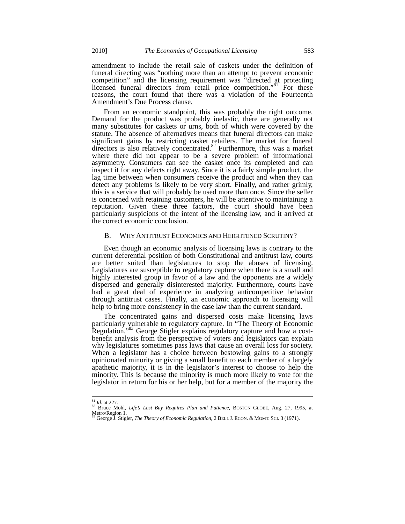amendment to include the retail sale of caskets under the definition of funeral directing was "nothing more than an attempt to prevent economic competition" and the licensing requirement was "directed at protecting licensed funeral directors from retail price competition."<sup>81</sup> For these reasons, the court found that there was a violation of the Fourteenth Amendment's Due Process clause.

From an economic standpoint, this was probably the right outcome. Demand for the product was probably inelastic, there are generally not many substitutes for caskets or urns, both of which were covered by the statute. The absence of alternatives means that funeral directors can make significant gains by restricting casket retailers. The market for funeral directors is also relatively concentrated.<sup>82</sup> Furthermore, this was a market where there did not appear to be a severe problem of informational asymmetry. Consumers can see the casket once its completed and can inspect it for any defects right away. Since it is a fairly simple product, the lag time between when consumers receive the product and when they can detect any problems is likely to be very short. Finally, and rather grimly, this is a service that will probably be used more than once. Since the seller is concerned with retaining customers, he will be attentive to maintaining a reputation. Given these three factors, the court should have been particularly suspicions of the intent of the licensing law, and it arrived at the correct economic conclusion.

# B. WHY ANTITRUST ECONOMICS AND HEIGHTENED SCRUTINY?

Even though an economic analysis of licensing laws is contrary to the current deferential position of both Constitutional and antitrust law, courts are better suited than legislatures to stop the abuses of licensing. Legislatures are susceptible to regulatory capture when there is a small and highly interested group in favor of a law and the opponents are a widely dispersed and generally disinterested majority. Furthermore, courts have had a great deal of experience in analyzing anticompetitive behavior through antitrust cases. Finally, an economic approach to licensing will help to bring more consistency in the case law than the current standard.

The concentrated gains and dispersed costs make licensing laws particularly vulnerable to regulatory capture. In "The Theory of Economic Regulation,"83 George Stigler explains regulatory capture and how a costbenefit analysis from the perspective of voters and legislators can explain why legislatures sometimes pass laws that cause an overall loss for society. When a legislator has a choice between bestowing gains to a strongly opinionated minority or giving a small benefit to each member of a largely apathetic majority, it is in the legislator's interest to choose to help the minority. This is because the minority is much more likely to vote for the legislator in return for his or her help, but for a member of the majority the

<sup>&</sup>lt;sup>81</sup> Id. at 227.<br><sup>82</sup> Bruce Mohl, *Life's Last Buy Requires Plan and Patience*, BOSTON GLOBE, Aug. 27, 1995, at Metro/Region 1. <sup>83</sup> George J. Stigler, *The Theory of Economic Regulation,* 2 BELL J. ECON. & MGMT. SCI. 3 (1971).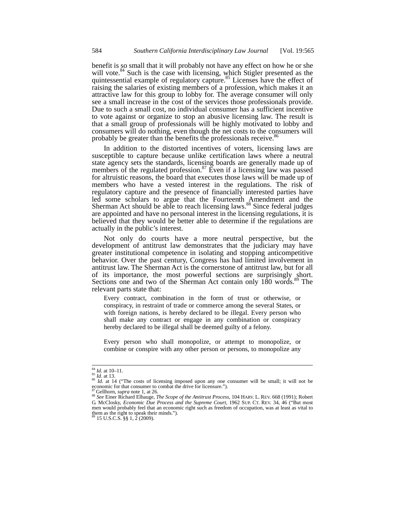benefit is so small that it will probably not have any effect on how he or she will vote.<sup>84</sup> Such is the case with licensing, which Stigler presented as the quintessential example of regulatory capture.<sup>85</sup> Licenses have the effect of raising the salaries of existing members of a profession, which makes it an attractive law for this group to lobby for. The average consumer will only see a small increase in the cost of the services those professionals provide. Due to such a small cost, no individual consumer has a sufficient incentive to vote against or organize to stop an abusive licensing law. The result is that a small group of professionals will be highly motivated to lobby and consumers will do nothing, even though the net costs to the consumers will probably be greater than the benefits the professionals receive.<sup>86</sup>

In addition to the distorted incentives of voters, licensing laws are susceptible to capture because unlike certification laws where a neutral state agency sets the standards, licensing boards are generally made up of members of the regulated profession.<sup>87</sup> Even if a licensing law was passed for altruistic reasons, the board that executes those laws will be made up of members who have a vested interest in the regulations. The risk of regulatory capture and the presence of financially interested parties have led some scholars to argue that the Fourteenth Amendment and the Sherman Act should be able to reach licensing laws.<sup>88</sup> Since federal judges are appointed and have no personal interest in the licensing regulations, it is believed that they would be better able to determine if the regulations are actually in the public's interest.

Not only do courts have a more neutral perspective, but the development of antitrust law demonstrates that the judiciary may have greater institutional competence in isolating and stopping anticompetitive behavior. Over the past century, Congress has had limited involvement in antitrust law. The Sherman Act is the cornerstone of antitrust law, but for all of its importance, the most powerful sections are surprisingly short. Sections one and two of the Sherman Act contain only 180 words.<sup>89</sup> The relevant parts state that:

Every contract, combination in the form of trust or otherwise, or conspiracy, in restraint of trade or commerce among the several States, or with foreign nations, is hereby declared to be illegal. Every person who shall make any contract or engage in any combination or conspiracy hereby declared to be illegal shall be deemed guilty of a felony.

Every person who shall monopolize, or attempt to monopolize, or combine or conspire with any other person or persons, to monopolize any

 $\frac{84}{85}$  *Id.* at 10–11.<br><sup>85</sup> *Id.* at 13.

<sup>&</sup>lt;sup>86</sup> *Id.* at 14 ("The costs of licensing imposed upon any one consumer will be small; it will not be economic for that consumer to combat the drive for licensure.").  $\frac{87}{5}$  Gellhorn, *supra* note 1, at 26.

<sup>88</sup> See Einer Richard Elhauge, *The Scope of the Antitrust Process*, 104 HARV. L. REV. 668 (1991); Robert G. McClosky, *Economic Due Process and the Supreme Court*, 1962 SUP. CT. REV. 34, 46 ("But most men would probably feel that an economic right such as freedom of occupation, was at least as vital to them as the right to speak their minds.").

 $15 \text{ U.S.C.S. }$ §§ 1, 2 (2009).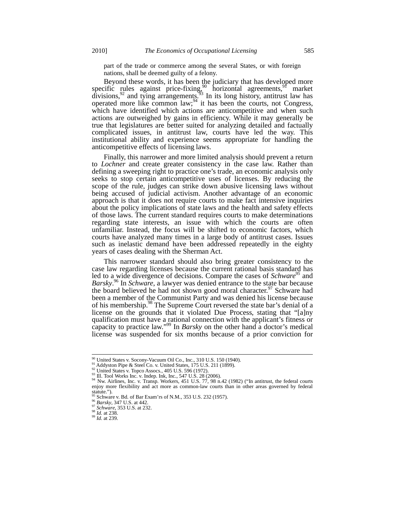part of the trade or commerce among the several States, or with foreign nations, shall be deemed guilty of a felony.

Beyond these words, it has been the judiciary that has developed more specific rules against price-fixing,<sup>90</sup> horizontal agreements,<sup>91</sup> market divisions,  $92$  and tying arrangements.  $93$  In its long history, antitrust law has operated more like common law;  $94$  it has been the courts, not Congress, which have identified which actions are anticompetitive and when such actions are outweighed by gains in efficiency. While it may generally be true that legislatures are better suited for analyzing detailed and factually complicated issues, in antitrust law, courts have led the way. This institutional ability and experience seems appropriate for handling the anticompetitive effects of licensing laws.

Finally, this narrower and more limited analysis should prevent a return to *Lochner* and create greater consistency in the case law. Rather than defining a sweeping right to practice one's trade, an economic analysis only seeks to stop certain anticompetitive uses of licenses. By reducing the scope of the rule, judges can strike down abusive licensing laws without being accused of judicial activism. Another advantage of an economic approach is that it does not require courts to make fact intensive inquiries about the policy implications of state laws and the health and safety effects of those laws. The current standard requires courts to make determinations regarding state interests, an issue with which the courts are often unfamiliar. Instead, the focus will be shifted to economic factors, which courts have analyzed many times in a large body of antitrust cases. Issues such as inelastic demand have been addressed repeatedly in the eighty years of cases dealing with the Sherman Act.

This narrower standard should also bring greater consistency to the case law regarding licenses because the current rational basis standard has led to a wide divergence of decisions. Compare the cases of *Schware<sup>95</sup>* and *Barsky*. <sup>96</sup> In *Schware*, a lawyer was denied entrance to the state bar because the board believed he had not shown good moral character.<sup>97</sup> Schware had been a member of the Communist Party and was denied his license because of his membership.<sup>98</sup> The Supreme Court reversed the state bar's denial of a license on the grounds that it violated Due Process, stating that "[a]ny qualification must have a rational connection with the applicant's fitness or capacity to practice law."99 In *Barsky* on the other hand a doctor's medical license was suspended for six months because of a prior conviction for

<sup>&</sup>lt;sup>90</sup> United States v. Socony-Vacuum Oil Co., Inc., 310 U.S. 150 (1940).

<sup>&</sup>lt;sup>91</sup> Addyston Pipe & Steel Co. v. United States, 175 U.S. 211 (1899).<br><sup>92</sup> United States v. Topco Assocs., 405 U.S. 596 (1972).<br><sup>93</sup> Ill. Tool Works Inc. v. Indep. Ink, Inc., 547 U.S. 28 (2006).<br><sup>94</sup> Nw. Airlines, Inc. v. enjoy more flexibility and act more as common-law courts than in other areas governed by federal statute.").<br><sup>95</sup> Schware v. Bd. of Bar Exam'rs of N.M., 353 U.S. 232 (1957).<br><sup>96</sup> *Barsky*, 347 U.S. at 442.<br><sup>97</sup> *Schware*, 353 U.S. at 232.<br><sup>99</sup> *Id.* at 238. 99 *Id.* at 239.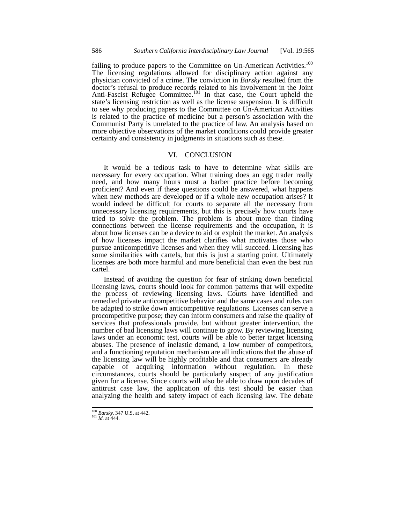failing to produce papers to the Committee on Un-American Activities.<sup>100</sup> The licensing regulations allowed for disciplinary action against any physician convicted of a crime. The conviction in *Barsky* resulted from the doctor's refusal to produce records related to his involvement in the Joint Anti-Fascist Refugee Committee.<sup>101</sup> In that case, the Court upheld the state's licensing restriction as well as the license suspension. It is difficult to see why producing papers to the Committee on Un-American Activities is related to the practice of medicine but a person's association with the Communist Party is unrelated to the practice of law. An analysis based on more objective observations of the market conditions could provide greater certainty and consistency in judgments in situations such as these.

# VI. CONCLUSION

It would be a tedious task to have to determine what skills are necessary for every occupation. What training does an egg trader really need, and how many hours must a barber practice before becoming proficient? And even if these questions could be answered, what happens when new methods are developed or if a whole new occupation arises? It would indeed be difficult for courts to separate all the necessary from unnecessary licensing requirements, but this is precisely how courts have tried to solve the problem. The problem is about more than finding connections between the license requirements and the occupation, it is about how licenses can be a device to aid or exploit the market. An analysis of how licenses impact the market clarifies what motivates those who pursue anticompetitive licenses and when they will succeed. Licensing has some similarities with cartels, but this is just a starting point. Ultimately licenses are both more harmful and more beneficial than even the best run cartel.

Instead of avoiding the question for fear of striking down beneficial licensing laws, courts should look for common patterns that will expedite the process of reviewing licensing laws. Courts have identified and remedied private anticompetitive behavior and the same cases and rules can be adapted to strike down anticompetitive regulations. Licenses can serve a procompetitive purpose; they can inform consumers and raise the quality of services that professionals provide, but without greater intervention, the number of bad licensing laws will continue to grow. By reviewing licensing laws under an economic test, courts will be able to better target licensing abuses. The presence of inelastic demand, a low number of competitors, and a functioning reputation mechanism are all indications that the abuse of the licensing law will be highly profitable and that consumers are already capable of acquiring information without regulation. In these circumstances, courts should be particularly suspect of any justification given for a license. Since courts will also be able to draw upon decades of antitrust case law, the application of this test should be easier than analyzing the health and safety impact of each licensing law. The debate

<sup>&</sup>lt;sup>100</sup> *Barsky*, 347 U.S. at 442.<br><sup>101</sup> *Id.* at 444.